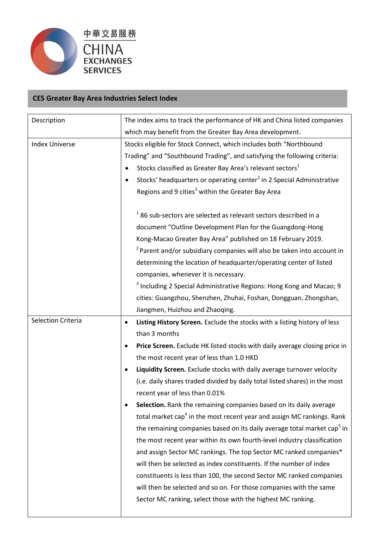

## **CES Greater Bay Area Industries Select Index**

| Description           | The index aims to track the performance of HK and China listed companies            |  |  |
|-----------------------|-------------------------------------------------------------------------------------|--|--|
|                       | which may benefit from the Greater Bay Area development.                            |  |  |
| <b>Index Universe</b> | Stocks eligible for Stock Connect, which includes both "Northbound                  |  |  |
|                       | Trading" and "Southbound Trading", and satisfying the following criteria:           |  |  |
|                       | Stocks classified as Greater Bay Area's relevant sectors <sup>1</sup>               |  |  |
|                       | Stocks' headquarters or operating center <sup>2</sup> in 2 Special Administrative   |  |  |
|                       | Regions and 9 cities <sup>3</sup> within the Greater Bay Area                       |  |  |
|                       | $1$ 86 sub-sectors are selected as relevant sectors described in a                  |  |  |
|                       | document "Outline Development Plan for the Guangdong-Hong                           |  |  |
|                       | Kong-Macao Greater Bay Area" published on 18 February 2019.                         |  |  |
|                       | <sup>2</sup> Parent and/or subsidiary companies will also be taken into account in  |  |  |
|                       | determining the location of headquarter/operating center of listed                  |  |  |
|                       | companies, whenever it is necessary.                                                |  |  |
|                       | <sup>3</sup> Including 2 Special Administrative Regions: Hong Kong and Macao; 9     |  |  |
|                       | cities: Guangzhou, Shenzhen, Zhuhai, Foshan, Dongguan, Zhongshan,                   |  |  |
|                       | Jiangmen, Huizhou and Zhaoqing.                                                     |  |  |
| Selection Criteria    | Listing History Screen. Exclude the stocks with a listing history of less<br>٠      |  |  |
|                       | than 3 months                                                                       |  |  |
|                       | Price Screen. Exclude HK listed stocks with daily average closing price in          |  |  |
|                       | the most recent year of less than 1.0 HKD                                           |  |  |
|                       | Liquidity Screen. Exclude stocks with daily average turnover velocity               |  |  |
|                       | (i.e. daily shares traded divided by daily total listed shares) in the most         |  |  |
|                       | recent year of less than 0.01%                                                      |  |  |
|                       | Selection. Rank the remaining companies based on its daily average                  |  |  |
|                       | total market cap <sup>4</sup> in the most recent year and assign MC rankings. Rank  |  |  |
|                       | the remaining companies based on its daily average total market cap <sup>3</sup> in |  |  |
|                       | the most recent year within its own fourth-level industry classification            |  |  |
|                       | and assign Sector MC rankings. The top Sector MC ranked companies*                  |  |  |
|                       | will then be selected as index constituents. If the number of index                 |  |  |
|                       | constituents is less than 100, the second Sector MC ranked companies                |  |  |
|                       | will then be selected and so on. For those companies with the same                  |  |  |
|                       | Sector MC ranking, select those with the highest MC ranking.                        |  |  |
|                       |                                                                                     |  |  |